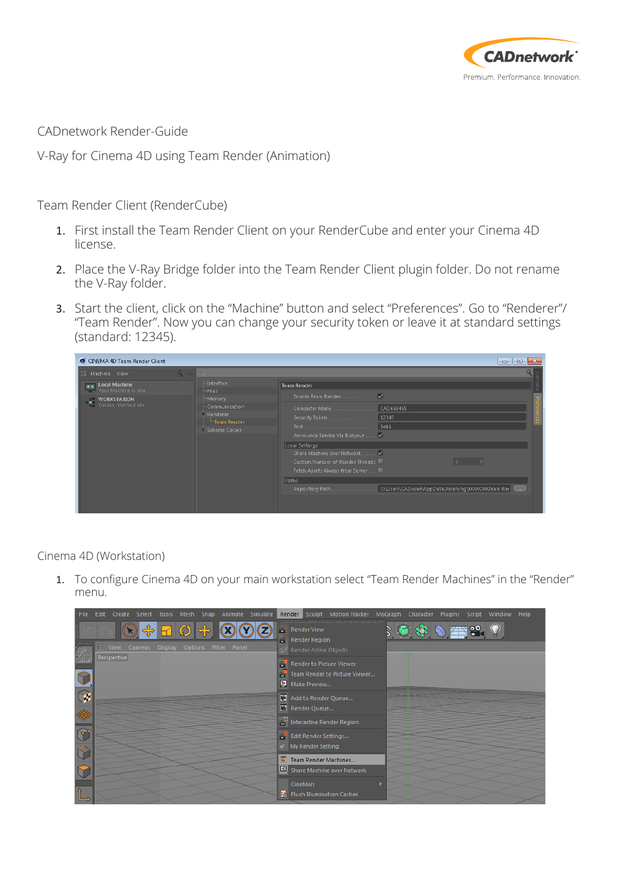

CADnetwork Render-Guide

V-Ray for Cinema 4D using Team Render (Animation)

Team Render Client (RenderCube)

- 1. First install the Team Render Client on your RenderCube and enter your Cinema 4D license.
- 2. Place the V-Ray Bridge folder into the Team Render Client plugin folder. Do not rename the V-Ray folder.
- 3. Start the client, click on the "Machine" button and select "Preferences". Go to "Renderer"/ "Team Render". Now you can change your security token or leave it at standard settings (standard: 12345).

| C CINEMA 4D Team Render Client                                                              |                                                                                                      | $\Box$ $\mathbf{x}$<br>$\blacksquare$                                                                              |
|---------------------------------------------------------------------------------------------|------------------------------------------------------------------------------------------------------|--------------------------------------------------------------------------------------------------------------------|
|                                                                                             | 朋                                                                                                    | o                                                                                                                  |
| <b></b> Local Machine<br>Your Machine is idle<br><b>WORKSTATION</b><br>Conline, Verified Me | <b>Interface</b><br>-Files<br>Memory<br>Communication<br>-Renderer<br>-Team Render<br>-Scheme Colors | <b>Team Render</b>                                                                                                 |
|                                                                                             |                                                                                                      | Security Token. 12345<br>Announce Service Via Bonjour V                                                            |
|                                                                                             |                                                                                                      | Local Settings<br>Share Machine over Network<br>Custom Number of Render Threads<br>Fetch Assets Always from Server |
|                                                                                             |                                                                                                      | Paths<br>Repository Path. C:\Users\CADuser\AppData\Roaming\MAXON\Team Rer [4,                                      |

Cinema 4D (Workstation)

1. To configure Cinema 4D on your main workstation select "Team Render Machines" in the "Render" menu.

| File Edit Create Select Tools Mesh Snap Animate Simulate | Render Sculpt Motion Tracker MoGraph Character Plugins Script Window Help                        |
|----------------------------------------------------------|--------------------------------------------------------------------------------------------------|
| We View Cameras Display Options Filter Panel             | 2回後の語。 い<br><b>Render View</b><br>Render Region<br><b>BE</b> Render Active Objects<br>$\sqrt{N}$ |
| Perspective<br>$\frac{1}{2}$                             | <b>Render to Picture Viewer</b><br><b>Team Render to Picture Viewer</b><br>Make Preview          |
|                                                          | Add to Render Queue<br>Render Queue<br><b>With Interactive Render Region</b>                     |
| $\mathbb{Q}^2$                                           | <b>Edit Render Settings</b><br>My Render Setting                                                 |
|                                                          | Team Render Machines<br>Share Machine over Network                                               |
|                                                          | CineMan<br><b>Fo</b> Flush Illumination Caches                                                   |